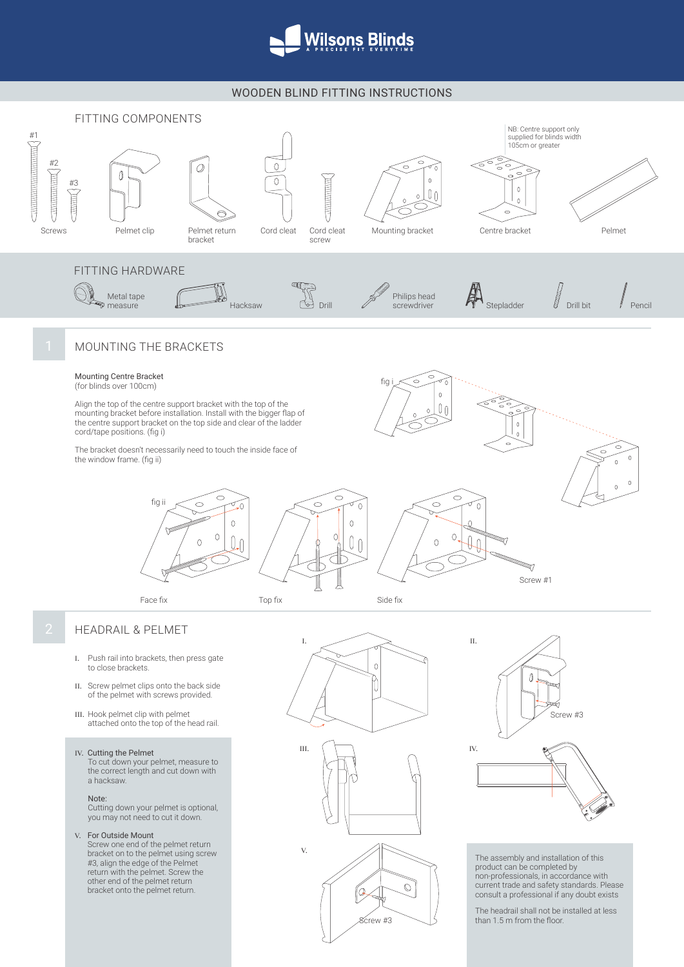

## WOODEN BLIND FITTING INSTRUCTIONS



## IV. Cutting the Pelmet

To cut down your pelmet, measure to the correct length and cut down with a hacksaw.

## Note:

Cutting down your pelmet is optional, you may not need to cut it down.

## V. For Outside Mount

Screw one end of the pelmet return bracket on to the pelmet using screw #3, align the edge of the Pelmet return with the pelmet. Screw the other end of the pelmet return bracket onto the pelmet return.





product can be completed by non-professionals, in accordance with current trade and safety standards. Please consult a professional if any doubt exists

The headrail shall not be installed at less than 1.5 m from the floor.